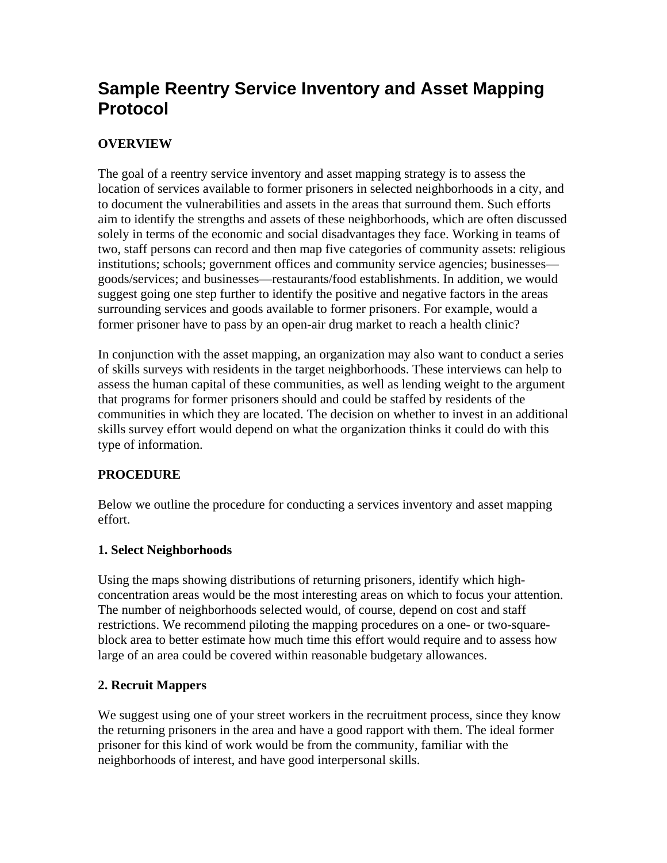# **Sample Reentry Service Inventory and Asset Mapping Protocol**

# **OVERVIEW**

The goal of a reentry service inventory and asset mapping strategy is to assess the location of services available to former prisoners in selected neighborhoods in a city, and to document the vulnerabilities and assets in the areas that surround them. Such efforts aim to identify the strengths and assets of these neighborhoods, which are often discussed solely in terms of the economic and social disadvantages they face. Working in teams of two, staff persons can record and then map five categories of community assets: religious institutions; schools; government offices and community service agencies; businesses goods/services; and businesses—restaurants/food establishments. In addition, we would suggest going one step further to identify the positive and negative factors in the areas surrounding services and goods available to former prisoners. For example, would a former prisoner have to pass by an open-air drug market to reach a health clinic?

In conjunction with the asset mapping, an organization may also want to conduct a series of skills surveys with residents in the target neighborhoods. These interviews can help to assess the human capital of these communities, as well as lending weight to the argument that programs for former prisoners should and could be staffed by residents of the communities in which they are located. The decision on whether to invest in an additional skills survey effort would depend on what the organization thinks it could do with this type of information.

# **PROCEDURE**

Below we outline the procedure for conducting a services inventory and asset mapping effort.

#### **1. Select Neighborhoods**

Using the maps showing distributions of returning prisoners, identify which highconcentration areas would be the most interesting areas on which to focus your attention. The number of neighborhoods selected would, of course, depend on cost and staff restrictions. We recommend piloting the mapping procedures on a one- or two-squareblock area to better estimate how much time this effort would require and to assess how large of an area could be covered within reasonable budgetary allowances.

#### **2. Recruit Mappers**

We suggest using one of your street workers in the recruitment process, since they know the returning prisoners in the area and have a good rapport with them. The ideal former prisoner for this kind of work would be from the community, familiar with the neighborhoods of interest, and have good interpersonal skills.